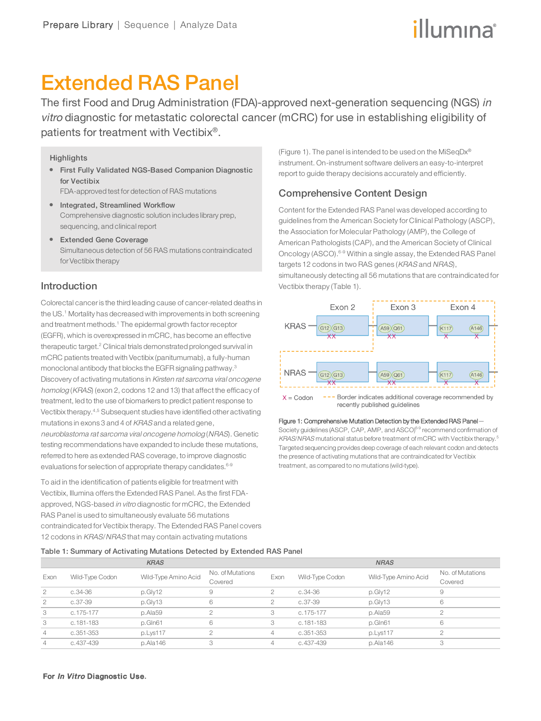# illumına

## Extended RAS Panel

The first Food and Drug Administration (FDA)-approved next-generation sequencing (NGS) in vitro diagnostic for metastatic colorectal cancer (mCRC) for use in establishing eligibility of patients for treatment with Vectibix $^\circ$ .

#### **Highlights**

**•** First Fully Validated NGS-Based Companion Diagnostic for Vectibix

FDA-approved test for detection of RAS mutations

- Integrated, Streamlined Workflow Comprehensive diagnostic solution includes library prep, sequencing, and clinical report
- Extended Gene Coverage Simultaneous detection of 56 RAS mutations contraindicated for Vectibix therapy

## Introduction

Colorectal canceris the third leading cause of cancer-related deaths in the US.<sup>1</sup> Mortality has decreased with improvements in both screening and treatment methods.<sup>1</sup> The epidermal growth factor receptor (EGFR), which is overexpressed in mCRC, has become an effective therapeutic target.<sup>2</sup> Clinical trials demonstrated prolonged survival in mCRC patients treated with Vectibix (panitumumab), a fully-human monoclonal antibody that blocks the EGFR signaling pathway.<sup>3</sup> Discovery of activating mutations in Kirsten rat sarcoma viral oncogene homolog (KRAS) (exon 2, codons 12 and 13) that affect the efficacy of treatment, led to the use of biomarkers to predict patient response to Vectibix therapy.4,5 Subsequent studies have identified other activating mutations in exons 3 and 4 of KRAS and a related gene, neuroblastoma rat sarcoma viral oncogene homolog (NRAS). Genetic testing recommendations have expanded to include these mutations, referred to here as extended RAS coverage, to improve diagnostic evaluations for selection of appropriate therapy candidates.<sup>6-9</sup>

To aid in the identification of patients eligible for treatment with Vectibix, Illumina offers the Extended RAS Panel. As the first FDAapproved, NGS-based in vitro diagnostic for mCRC, the Extended RAS Panel is used to simultaneously evaluate 56 mutations contraindicated for Vectibix therapy. The Extended RAS Panel covers 12 codons in KRAS/NRAS that may contain activating mutations

(Figure 1). The panel is intended to be used on the MiSeqDx® instrument. On-instrument software delivers an easy-to-interpret report to guide therapy decisions accurately and efficiently.

## Comprehensive Content Design

Vectibix therapy (Table 1).

Content for the Extended RAS Panel was developed according to guidelines from the American Society for Clinical Pathology (ASCP), the Association for Molecular Pathology (AMP), the College of American Pathologists (CAP), and the American Society of Clinical Oncology (ASCO).6-9 Within a single assay, the Extended RAS Panel targets 12 codons in two RAS genes (KRAS and NRAS), simultaneously detecting all 56 mutations that are contraindicated for

Exon 2 Exon 3 Exon 4 **KRAS**  $\widehat{(G12)}\widehat{(G13)}$  $A59(061)$  $\widehat{A146}$  $(K117)$ **NRAS**  $G12(G13)$  $(A59)(Q61)$  $K117$  $\widehat{A146}$ 

Border indicates additional coverage recommended by  $X = Codon$ recently published guidelines

#### Figure 1: Comprehensive Mutation Detection by the Extended RAS Panel—

Society guidelines (ASCP, CAP, AMP, and ASCO)<sup>6-9</sup> recommend confirmation of KRAS/NRAS mutational status before treatment of mCRC with Vectibix therapy.<sup>5</sup> Targeted sequencing provides deep coverage of each relevant codon and detects the presence of activating mutations that are contraindicated for Vectibix treatment, as compared to no mutations (wild-type).

#### Table 1: Summary of Activating Mutations Detected by Extended RAS Panel

| <b>KRAS</b>    |                 |                      |                             | <b>NRAS</b>    |                 |                      |                             |
|----------------|-----------------|----------------------|-----------------------------|----------------|-----------------|----------------------|-----------------------------|
| Exon           | Wild-Type Codon | Wild-Type Amino Acid | No. of Mutations<br>Covered | Exon           | Wild-Type Codon | Wild-Type Amino Acid | No. of Mutations<br>Covered |
| 2              | $c.34-36$       | p.Gly12              | 9                           |                | c.34-36         | p.Gly12              | 9                           |
| $\overline{2}$ | $c.37-39$       | p.Gly13              | 6                           | $\overline{c}$ | c.37-39         | p.Gly13              | 6                           |
| 3              | c.175-177       | p.Ala59              | ◠                           | 3              | c.175-177       | p.Ala59              |                             |
| 3              | c.181-183       | p.Gln61              | 6                           | 3              | c.181-183       | p.Gln61              | 6                           |
| $\overline{4}$ | c.351-353       | p.Lys117             | $\circ$                     | 4              | c.351-353       | p.Lys117             | $\cap$                      |
| $\overline{4}$ | c.437-439       | p.Ala146             | 3                           | 4              | c.437-439       | p.Ala146             | 3                           |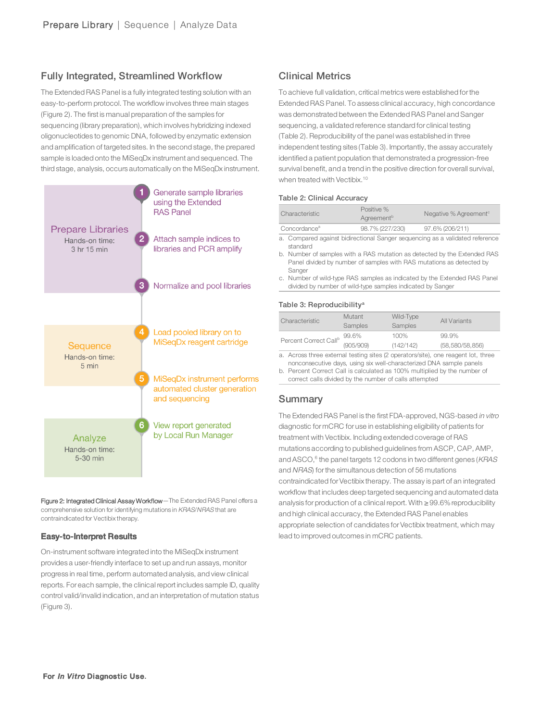## Fully Integrated, Streamlined Workflow

The Extended RAS Panel is a fully integrated testing solution with an easy-to-perform protocol. The workflow involves three main stages (Figure 2). The first is manual preparation of the samples for sequencing (library preparation), which involves hybridizing indexed oligonucleotides to genomic DNA, followed by enzymatic extension and amplification of targeted sites. In the second stage, the prepared sample is loaded onto the MiSeqDx instrument and sequenced. The third stage, analysis, occurs automatically on the MiSeqDx instrument.



Figure 2: Integrated Clinical Assay Workflow-The Extended RAS Panel offers a comprehensive solution for identifying mutations in KRAS/NRAS that are contraindicated for Vectibix therapy.

#### Easy-to-Interpret Results

On-instrument software integrated into the MiSeqDx instrument provides a user-friendly interface to set up and run assays, monitor progress in real time, perform automated analysis, and view clinical reports. For each sample, the clinical report includes sample ID, quality control valid/invalid indication, and an interpretation of mutation status (Figure 3).

## Clinical Metrics

To achieve full validation, critical metrics were established forthe Extended RAS Panel. To assess clinical accuracy, high concordance was demonstrated between the Extended RAS Panel and Sanger sequencing, a validated reference standard for clinical testing (Table 2). Reproducibility of the panel was established in three independent testing sites (Table 3). Importantly, the assay accurately identified a patient population that demonstrated a progression-free survival benefit, and a trend in the positive direction for overall survival, when treated with Vectibix.<sup>10</sup>

#### Table 2: Clinical Accuracy

| Characteristic                                                             | Positive %<br>Agreement <sup>b</sup> | Negative % Agreement <sup>c</sup> |  |  |
|----------------------------------------------------------------------------|--------------------------------------|-----------------------------------|--|--|
| Concordance <sup>a</sup>                                                   | 98.7% (227/230)                      | 97.6% (206/211)                   |  |  |
| . Camparad antipat bidirational Cannos components as a unlidetad reference |                                      |                                   |  |  |

a. Compared against bidirectional Sanger sequencing as a validated reference standard

b. Number of samples with a RAS mutation as detected by the Extended RAS Panel divided by number of samples with RAS mutations as detected by Sanger

c. Number of wild-type RAS samples as indicated by the Extended RAS Panel divided by number of wild-type samples indicated by Sanger

#### Table 3: Reproducibility<sup>a</sup>

| Characteristic                    | Mutant<br>Samples | Wild-Type<br>Samples | All Variants      |
|-----------------------------------|-------------------|----------------------|-------------------|
| Percent Correct Call <sup>b</sup> | 99.6%             | 100%                 | 99.9%             |
|                                   | (905/909)         | (142/142)            | (58, 580/58, 856) |

a. Across three external testing sites (2 operators/site), one reagent lot, three nonconsecutive days, using six well-characterized DNA sample panels

b. Percent Correct Call is calculated as 100% multiplied by the number of

correct calls divided by the number of calls attempted

#### Summary

The Extended RAS Panel is the first FDA-approved, NGS-based in vitro diagnostic for mCRC for use in establishing eligibility of patients for treatment with Vectibix. Including extended coverage of RAS mutations according to published guidelines from ASCP, CAP, AMP, and ASCO, $^6$  the panel targets 12 codons in two different genes (*KRAS* and NRAS) forthe simultanous detection of 56 mutations contraindicated for Vectibix therapy. The assay is part of an integrated workflow that includes deep targeted sequencing and automated data analysis for production of a clinical report. With  $\geq$  99.6% reproducibility and high clinical accuracy, the Extended RAS Panel enables appropriate selection of candidates for Vectibix treatment, which may lead to improved outcomes in mCRC patients.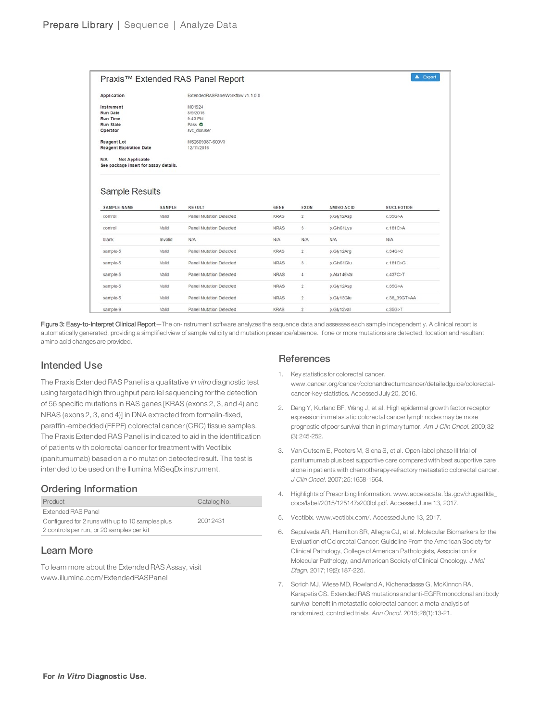|                                                                       |                 | Praxis™ Extended RAS Panel Report               |             |                         |                          | $\pm$ Export            |
|-----------------------------------------------------------------------|-----------------|-------------------------------------------------|-------------|-------------------------|--------------------------|-------------------------|
| <b>Application</b>                                                    |                 | ExtendedRASPanelWorkflow v1.1.0.0               |             |                         |                          |                         |
| Instrument                                                            |                 | M01924                                          |             |                         |                          |                         |
| <b>Run Date</b>                                                       |                 | 8/9/2016                                        |             |                         |                          |                         |
| <b>Run Time</b>                                                       |                 | 9:43 PM                                         |             |                         |                          |                         |
| <b>Run State</b>                                                      |                 | Pass O                                          |             |                         |                          |                         |
| Operator                                                              |                 | svc_dxruser                                     |             |                         |                          |                         |
| <b>Reagent Lot</b>                                                    |                 | MS2609087-600V3                                 |             |                         |                          |                         |
| <b>Reagent Expiration Date</b>                                        |                 | 12/11/2016                                      |             |                         |                          |                         |
| N/A<br><b>Not Applicable</b><br>See package insert for assay details. |                 |                                                 |             |                         |                          |                         |
|                                                                       |                 |                                                 |             |                         |                          |                         |
| <b>Sample Results</b><br><b>SAMPLE NAME</b>                           |                 |                                                 | <b>GENE</b> |                         |                          |                         |
| control                                                               | SAMPLE<br>Valid | <b>RESULT</b><br><b>Panel Mutation Detected</b> | <b>KRAS</b> | EXON<br>$\overline{2}$  | AMINO ACID<br>p.Gly12Asp | NUCLEOTIDE<br>c.35G > A |
| control                                                               | Valid           | <b>Panel Mutation Detected</b>                  | <b>NRAS</b> | 3                       | p.Gln61Lys               | c.181C>A                |
| blank                                                                 | Invalid         | N/A                                             | N/A         | N/A                     | N/A                      | N/A                     |
| sample-5                                                              | Valid           | Panel Mutation Detected                         | <b>KRAS</b> | $\overline{2}$          | p.Gly12Arg               | c.34G > C               |
|                                                                       | Valid           | <b>Panel Mutation Detected</b>                  | <b>NRAS</b> | 3                       | p.Gln61Glu               | c.181C>G                |
|                                                                       | Valid           | Panel Mutation Detected                         | <b>NRAS</b> | 4                       | p.Ala146Val              | c.437C > T              |
|                                                                       | Valid           | <b>Panel Mutation Detected</b>                  | <b>NRAS</b> | $\overline{\mathbf{2}}$ | p.Gly12Asp               | c.35G>A                 |
| sample-5<br>sample-5<br>sample-5<br>sample-5                          | Valid           | <b>Panel Mutation Detected</b>                  | <b>NRAS</b> | $\overline{\mathbf{2}}$ | p.Gly13Glu               | c.38 39GT>AA            |

Figure 3: Easy-to-Interpret Clinical Report-The on-instrument software analyzes the sequence data and assesses each sample independently. A clinical report is automatically generated, providing a simplified view of sample validity and mutation presence/absence. If one or more mutations are detected, location and resultant amino acid changes are provided.

## Intended Use

The Praxis Extended RAS Panel is a qualitative in vitro diagnostic test using targeted high throughput parallel sequencing for the detection of 56 specific mutations in RAS genes [KRAS (exons 2, 3, and 4) and NRAS (exons 2, 3, and 4)] in DNA extracted from formalin-fixed, paraffin-embedded (FFPE) colorectal cancer (CRC) tissue samples. The Praxis Extended RAS Panel is indicated to aid in the identification of patients with colorectal cancer for treatment with Vectibix (panitumumab) based on a no mutation detected result. The test is intended to be used on the Illumina MiSeqDx instrument.

## Ordering Information

| Product                                          | Catalog No. |
|--------------------------------------------------|-------------|
| <b>Extended RAS Panel</b>                        |             |
| Configured for 2 runs with up to 10 samples plus | 20012431    |
| 2 controls per run, or 20 samples per kit        |             |

### Learn More

To learn more about the Extended RAS Assay, visit [www.illumina.com/ExtendedRASPanel](http://www.illumina.com/ExtendedRASPanel)

#### **References**

- 1. Key statistics for colorectal cancer. www.cancer.org/cancer/colonandrectumcancer/detailedguide/colorectalcancer-key-statistics. Accessed July 20, 2016.
- 2. Deng Y, Kurland BF, Wang J, et al. High epidermal growth factor receptor expression in metastatic colorectal cancer lymph nodes may be more prognostic of poor survival than in primary tumor. Am J Clin Oncol. 2009;32 (3):245-252.
- 3. Van Cutsem E, Peeters M, Siena S, et al. Open-label phase III trial of panitumumab plus best supportive care compared with best supportive care alone in patients with chemotherapy-refractory metastatic colorectal cancer. J Clin Oncol. 2007;25:1658-1664.
- 4. Highlights of Prescribing Iinformation. www.accessdata.fda.gov/drugsatfda\_ docs/label/2015/125147s200lbl.pdf. Accessed June 13, 2017.
- 5. Vectibix. www.vectibix.com/. Accessed June 13, 2017.
- 6. Sepulveda AR, Hamilton SR, Allegra CJ, et al. Molecular Biomarkers for the Evaluation of Colorectal Cancer: Guideline From the American Society for Clinical Pathology, College of American Pathologists, Association for Molecular Pathology, and American Society of Clinical Oncology. J Mol Diagn. 2017;19(2):187-225.
- 7. Sorich MJ, Wiese MD, Rowland A, Kichenadasse G, McKinnon RA, Karapetis CS. Extended RAS mutations and anti-EGFR monoclonal antibody survival benefit in metastatic colorectal cancer: a meta-analysis of randomized, controlled trials. Ann Oncol. 2015;26(1):13-21.